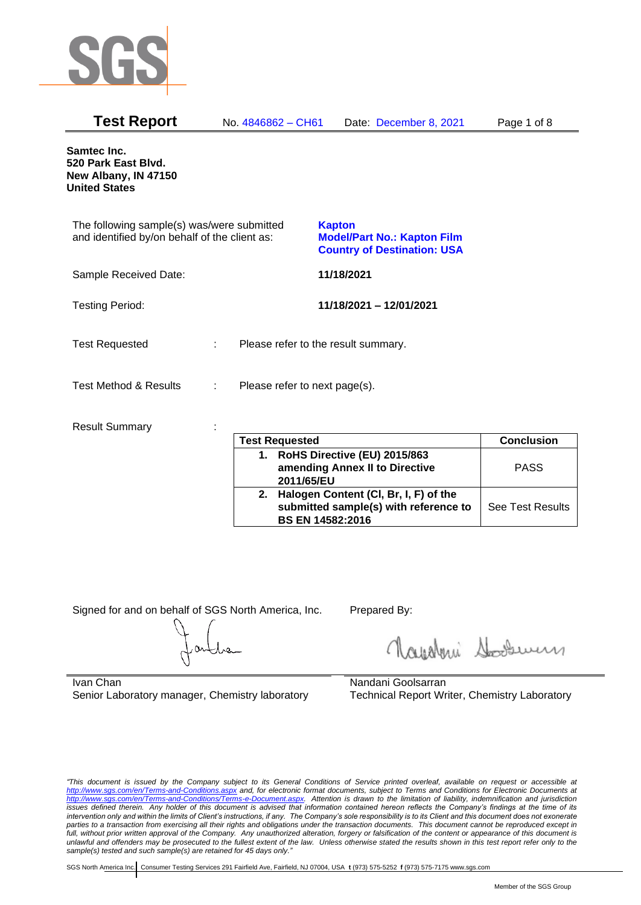

| <b>Test Report</b>                                                                          |   | No. 4846862 - CH61            | Date: December 8, 2021                                                                    | Page 1 of 8 |
|---------------------------------------------------------------------------------------------|---|-------------------------------|-------------------------------------------------------------------------------------------|-------------|
| Samtec Inc.<br>520 Park East Blvd.<br>New Albany, IN 47150<br><b>United States</b>          |   |                               |                                                                                           |             |
| The following sample(s) was/were submitted<br>and identified by/on behalf of the client as: |   |                               | <b>Kapton</b><br><b>Model/Part No.: Kapton Film</b><br><b>Country of Destination: USA</b> |             |
| Sample Received Date:                                                                       |   |                               | 11/18/2021                                                                                |             |
| <b>Testing Period:</b>                                                                      |   |                               | 11/18/2021 - 12/01/2021                                                                   |             |
| <b>Test Requested</b>                                                                       | ÷ |                               | Please refer to the result summary.                                                       |             |
| <b>Test Method &amp; Results</b>                                                            | ÷ | Please refer to next page(s). |                                                                                           |             |
| <b>Result Summary</b>                                                                       |   | Test Requested                |                                                                                           | Conclusion  |

|    | <b>Test Requested</b>                 | <b>Conclusion</b>       |
|----|---------------------------------------|-------------------------|
| 1. | RoHS Directive (EU) 2015/863          |                         |
|    | amending Annex II to Directive        | <b>PASS</b>             |
|    | 2011/65/EU                            |                         |
| 2. | Halogen Content (CI, Br, I, F) of the |                         |
|    | submitted sample(s) with reference to | <b>See Test Results</b> |
|    | <b>BS EN 14582:2016</b>               |                         |

Signed for and on behalf of SGS North America, Inc. Prepared By:

Royalmi Souri

Ivan Chan Senior Laboratory manager, Chemistry laboratory

Nandani Goolsarran Technical Report Writer, Chemistry Laboratory

*"This document is issued by the Company subject to its General Conditions of Service printed overleaf, available on request or accessible at <http://www.sgs.com/en/Terms-and-Conditions.aspx> and, for electronic format documents, subject to Terms and Conditions for Electronic Documents at [http://www.sgs.com/en/Terms-and-Conditions/Terms-e-Document.aspx.](http://www.sgs.com/en/Terms-and-Conditions/Terms-e-Document.aspx) Attention is drawn to the limitation of liability, indemnification and jurisdiction issues defined therein. Any holder of this document is advised that information contained hereon reflects the Company's findings at the time of its intervention only and within the limits of Client's instructions, if any. The Company's sole responsibility is to its Client and this document does not exonerate parties to a transaction from exercising all their rights and obligations under the transaction documents. This document cannot be reproduced except in*  full, without prior written approval of the Company. Any unauthorized alteration, forgery or falsification of the content or appearance of this document is *unlawful and offenders may be prosecuted to the fullest extent of the law. Unless otherwise stated the results shown in this test report refer only to the sample(s) tested and such sample(s) are retained for 45 days only."*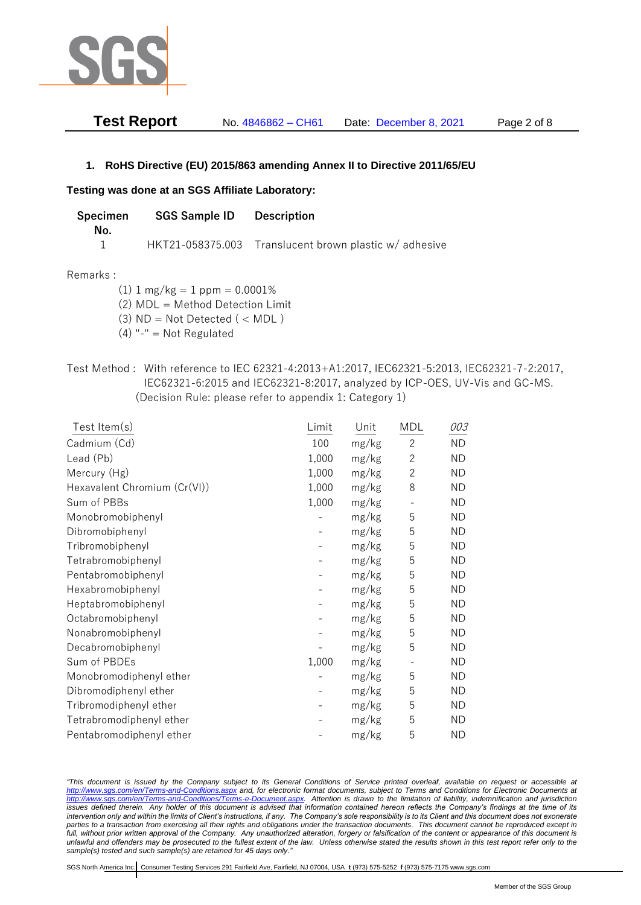

| <b>Test Report</b> | No. 4846862 - CH61 | Date: December 8, 2021 | Page 2 of 8 |
|--------------------|--------------------|------------------------|-------------|
|--------------------|--------------------|------------------------|-------------|

# **1. RoHS Directive (EU) 2015/863 amending Annex II to Directive 2011/65/EU**

### **Testing was done at an SGS Affiliate Laboratory:**

| Specimen<br>No. | <b>SGS Sample ID</b> | Description                                           |
|-----------------|----------------------|-------------------------------------------------------|
|                 |                      | HKT21-058375.003 Translucent brown plastic w/adhesive |

### Remarks :

 $(1)$  1 mg/kg = 1 ppm = 0.0001%

(2) MDL = Method Detection Limit

 $(3)$  ND = Not Detected  $($  < MDL)

(4) "-" = Not Regulated

# Test Method : With reference to IEC 62321-4:2013+A1:2017, IEC62321-5:2013, IEC62321-7-2:2017, IEC62321-6:2015 and IEC62321-8:2017, analyzed by ICP-OES, UV-Vis and GC-MS. (Decision Rule: please refer to appendix 1: Category 1)

| Test Item(s)                 | Limit | Unit  | <b>MDL</b>     | 003       |
|------------------------------|-------|-------|----------------|-----------|
| Cadmium (Cd)                 | 100   | mg/kg | $\mathbf{2}$   | <b>ND</b> |
| Lead (Pb)                    | 1,000 | mg/kg | $\overline{2}$ | <b>ND</b> |
| Mercury (Hg)                 | 1,000 | mg/kg | $\overline{2}$ | <b>ND</b> |
| Hexavalent Chromium (Cr(VI)) | 1,000 | mg/kg | 8              | <b>ND</b> |
| Sum of PBBs                  | 1,000 | mg/kg |                | <b>ND</b> |
| Monobromobiphenyl            |       | mg/kg | 5              | <b>ND</b> |
| Dibromobiphenyl              |       | mg/kg | 5              | <b>ND</b> |
| Tribromobiphenyl             |       | mg/kg | 5              | <b>ND</b> |
| Tetrabromobiphenyl           |       | mg/kg | 5              | <b>ND</b> |
| Pentabromobiphenyl           |       | mg/kg | 5              | <b>ND</b> |
| Hexabromobiphenyl            |       | mg/kg | 5              | <b>ND</b> |
| Heptabromobiphenyl           |       | mg/kg | 5              | <b>ND</b> |
| Octabromobiphenyl            |       | mg/kg | 5              | <b>ND</b> |
| Nonabromobiphenyl            |       | mg/kg | 5              | <b>ND</b> |
| Decabromobiphenyl            |       | mg/kg | 5              | <b>ND</b> |
| Sum of PBDEs                 | 1,000 | mg/kg |                | <b>ND</b> |
| Monobromodiphenyl ether      |       | mg/kg | 5              | <b>ND</b> |
| Dibromodiphenyl ether        |       | mg/kg | 5              | <b>ND</b> |
| Tribromodiphenyl ether       |       | mg/kg | 5              | <b>ND</b> |
| Tetrabromodiphenyl ether     |       | mg/kg | 5              | <b>ND</b> |
| Pentabromodiphenyl ether     |       | mg/kg | 5              | <b>ND</b> |

*"This document is issued by the Company subject to its General Conditions of Service printed overleaf, available on request or accessible at <http://www.sgs.com/en/Terms-and-Conditions.aspx> and, for electronic format documents, subject to Terms and Conditions for Electronic Documents at [http://www.sgs.com/en/Terms-and-Conditions/Terms-e-Document.aspx.](http://www.sgs.com/en/Terms-and-Conditions/Terms-e-Document.aspx) Attention is drawn to the limitation of liability, indemnification and jurisdiction issues defined therein. Any holder of this document is advised that information contained hereon reflects the Company's findings at the time of its intervention only and within the limits of Client's instructions, if any. The Company's sole responsibility is to its Client and this document does not exonerate*  parties to a transaction from exercising all their rights and obligations under the transaction documents. This document cannot be reproduced except in full, without prior written approval of the Company. Any unauthorized alteration, forgery or falsification of the content or appearance of this document is *unlawful and offenders may be prosecuted to the fullest extent of the law. Unless otherwise stated the results shown in this test report refer only to the sample(s) tested and such sample(s) are retained for 45 days only."*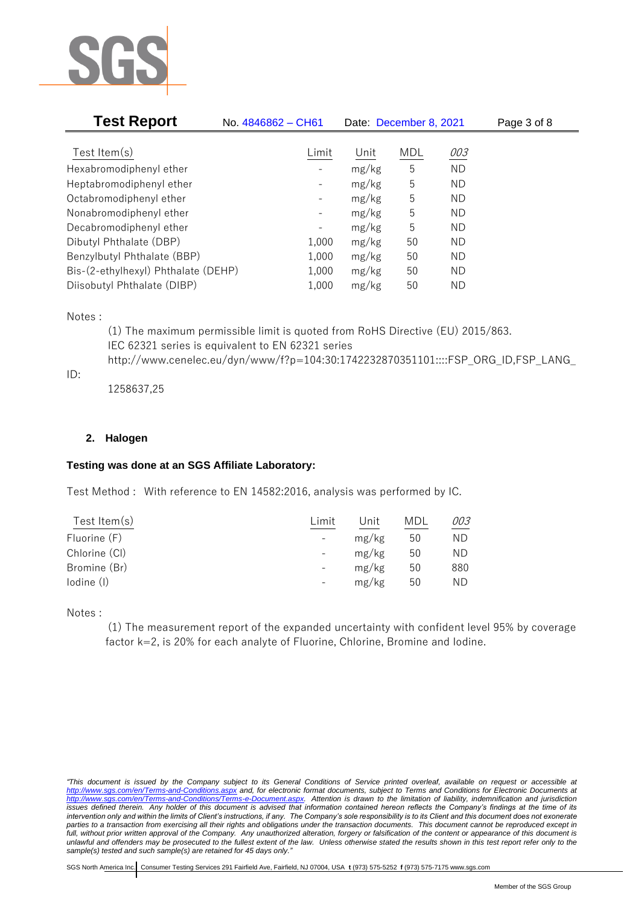

| <b>Test Report</b>                  | No. 4846862 - CH61 |       | Date: December 8, 2021 |           | Page 3 of 8 |
|-------------------------------------|--------------------|-------|------------------------|-----------|-------------|
|                                     |                    |       |                        |           |             |
| Test Item $(s)$                     | Limit              | Unit  | <b>MDL</b>             | 003       |             |
| Hexabromodiphenyl ether             |                    | mg/kg | 5                      | <b>ND</b> |             |
| Heptabromodiphenyl ether            |                    | mg/kg | 5                      | <b>ND</b> |             |
| Octabromodiphenyl ether             |                    | mg/kg | 5                      | ND        |             |
| Nonabromodiphenyl ether             |                    | mg/kg | 5                      | ND        |             |
| Decabromodiphenyl ether             | -                  | mg/kg | 5                      | ND        |             |
| Dibutyl Phthalate (DBP)             | 1,000              | mg/kg | 50                     | ND        |             |
| Benzylbutyl Phthalate (BBP)         | 1,000              | mg/kg | 50                     | ND        |             |
| Bis-(2-ethylhexyl) Phthalate (DEHP) | 1,000              | mg/kg | 50                     | ND        |             |
| Diisobutyl Phthalate (DIBP)         | 1,000              | mg/kg | 50                     | ΝD        |             |

# Notes :

(1) The maximum permissible limit is quoted from RoHS Directive (EU) 2015/863. IEC 62321 series is equivalent to EN 62321 series http://www.cenelec.eu/dyn/www/f?p=104:30:1742232870351101::::FSP\_ORG\_ID,FSP\_LANG\_

 $ID:$ 

1258637,25

# **2. Halogen**

# **Testing was done at an SGS Affiliate Laboratory:**

Test Method : With reference to EN 14582:2016, analysis was performed by IC.

| Test Item $(s)$ | Limit                    | Jnit  | MDL | 003 |
|-----------------|--------------------------|-------|-----|-----|
| Fluorine (F)    | $\overline{\phantom{a}}$ | mg/kg | 50  | ΝD  |
| Chlorine (CI)   | $\overline{\phantom{a}}$ | mg/kg | 50  | ND. |
| Bromine (Br)    | $\overline{\phantom{a}}$ | mg/kg | 50  | 880 |
| lodine (I)      | $\overline{\phantom{a}}$ | mg/kg | 50  | ND  |
|                 |                          |       |     |     |

Notes :

(1) The measurement report of the expanded uncertainty with confident level 95% by coverage factor k=2, is 20% for each analyte of Fluorine, Chlorine, Bromine and Iodine.

*<sup>&</sup>quot;This document is issued by the Company subject to its General Conditions of Service printed overleaf, available on request or accessible at <http://www.sgs.com/en/Terms-and-Conditions.aspx> and, for electronic format documents, subject to Terms and Conditions for Electronic Documents at [http://www.sgs.com/en/Terms-and-Conditions/Terms-e-Document.aspx.](http://www.sgs.com/en/Terms-and-Conditions/Terms-e-Document.aspx) Attention is drawn to the limitation of liability, indemnification and jurisdiction issues defined therein. Any holder of this document is advised that information contained hereon reflects the Company's findings at the time of its intervention only and within the limits of Client's instructions, if any. The Company's sole responsibility is to its Client and this document does not exonerate parties to a transaction from exercising all their rights and obligations under the transaction documents. This document cannot be reproduced except in*  full, without prior written approval of the Company. Any unauthorized alteration, forgery or falsification of the content or appearance of this document is *unlawful and offenders may be prosecuted to the fullest extent of the law. Unless otherwise stated the results shown in this test report refer only to the sample(s) tested and such sample(s) are retained for 45 days only."*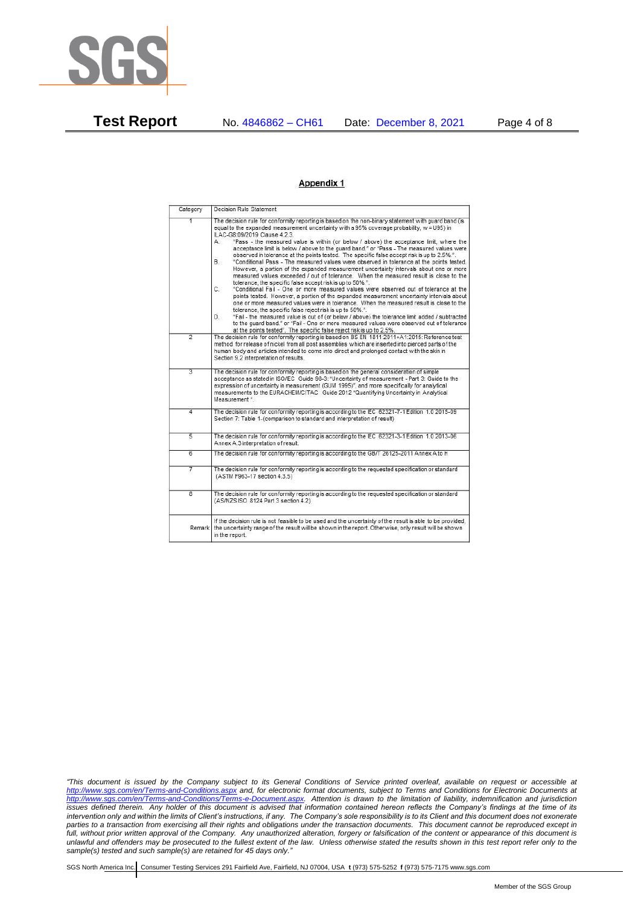

**Test Report** No. 4846862 – CH61 Date: December 8, 2021 Page 4 of 8

#### **Appendix 1**

| Category                | Decision Rule Statement                                                                                                                                                                                                                                                                                                                                                                                                                                                                                                                                                                                                                                                                                                                                                                                                                                                                                                                                                                                                                                                                                                                                                                                                                                                                                                                                                                                                                            |  |  |  |  |
|-------------------------|----------------------------------------------------------------------------------------------------------------------------------------------------------------------------------------------------------------------------------------------------------------------------------------------------------------------------------------------------------------------------------------------------------------------------------------------------------------------------------------------------------------------------------------------------------------------------------------------------------------------------------------------------------------------------------------------------------------------------------------------------------------------------------------------------------------------------------------------------------------------------------------------------------------------------------------------------------------------------------------------------------------------------------------------------------------------------------------------------------------------------------------------------------------------------------------------------------------------------------------------------------------------------------------------------------------------------------------------------------------------------------------------------------------------------------------------------|--|--|--|--|
| $\overline{1}$          | The decision rule for conformity reporting is based on the non-binary statement with quard band (is<br>equal to the expanded measurement uncertainty with a 95% coverage probability, w = U95) in<br>ILAC-G8:09/2019 Clause 4.2.3.<br>"Pass - the measured value is within (or below / above) the acceptance limit, where the<br>A.<br>acceptance limit is below / above to the quard band." or "Pass - The measured values were<br>observed in tolerance at the points tested. The specific false accept risk is up to 2.5%.".<br><b>B</b> .<br>"Conditional Pass - The measured values were observed in tolerance at the points tested.<br>However, a portion of the expanded measurement uncertainty intervals about one or more<br>measured values exceeded / out of tolerance. When the measured result is close to the<br>tolerance, the specific false accept risk is up to 50%.".<br>C.<br>"Conditional Fail - One or more measured values were observed out of tolerance at the<br>points tested. However, a portion of the expanded measurement uncertainty intervals about<br>one or more measured values were in tolerance. When the measured result is close to the<br>tolerance, the specific false reject risk is up to 50%.".<br>"Fail - the measured value is out of (or below / above) the tolerance limit added / subtracted<br>D.<br>to the quard band." or "Fail - One or more measured values were observed out of tolerance |  |  |  |  |
| $\overline{2}$          | at the points tested". The specific false reject risk is up to 2.5%.<br>The decision rule for conformity reporting is based on BS EN 1811:2011+A1:2015: Reference test                                                                                                                                                                                                                                                                                                                                                                                                                                                                                                                                                                                                                                                                                                                                                                                                                                                                                                                                                                                                                                                                                                                                                                                                                                                                             |  |  |  |  |
|                         | method for release of nickel from all post assemblies which are inserted into pierced parts of the<br>human body and articles intended to come into direct and prolonged contact with the skin in<br>Section 9.2 interpretation of results.                                                                                                                                                                                                                                                                                                                                                                                                                                                                                                                                                                                                                                                                                                                                                                                                                                                                                                                                                                                                                                                                                                                                                                                                        |  |  |  |  |
| $\overline{3}$          | The decision rule for conformity reporting is based on the general consideration of simple<br>acceptance as stated in ISO/IEC Guide 98-3: "Uncertainty of measurement - Part 3: Guide to the<br>expression of uncertainty in measurement (GUM 1995)", and more specifically for analytical<br>measurements to the EURACHEM/CITAC Guide 2012 "Quantifying Uncertainty in Analytical<br>Measurement *                                                                                                                                                                                                                                                                                                                                                                                                                                                                                                                                                                                                                                                                                                                                                                                                                                                                                                                                                                                                                                                |  |  |  |  |
| 4                       | The decision rule for conformity reporting is according to the IEC 62321-7-1 Edition 1.0 2015-09<br>Section 7: Table 1-(comparison to standard and interpretation of result)                                                                                                                                                                                                                                                                                                                                                                                                                                                                                                                                                                                                                                                                                                                                                                                                                                                                                                                                                                                                                                                                                                                                                                                                                                                                       |  |  |  |  |
| 5                       | The decision rule for conformity reporting is according to the IEC 62321-3-1 Edition 1.0 2013-06<br>Annex A.3 interpretation of result.                                                                                                                                                                                                                                                                                                                                                                                                                                                                                                                                                                                                                                                                                                                                                                                                                                                                                                                                                                                                                                                                                                                                                                                                                                                                                                            |  |  |  |  |
| $\overline{6}$          | The decision rule for conformity reporting is according to the GB/T 26125-2011 Annex A to H                                                                                                                                                                                                                                                                                                                                                                                                                                                                                                                                                                                                                                                                                                                                                                                                                                                                                                                                                                                                                                                                                                                                                                                                                                                                                                                                                        |  |  |  |  |
| 7                       | The decision rule for conformity reporting is according to the requested specification or standard<br>(ASTM F963-17 section 4.3.5)                                                                                                                                                                                                                                                                                                                                                                                                                                                                                                                                                                                                                                                                                                                                                                                                                                                                                                                                                                                                                                                                                                                                                                                                                                                                                                                 |  |  |  |  |
| $\overline{\mathbf{g}}$ | The decision rule for conformity reporting is according to the requested specification or standard<br>(AS/NZS ISO 8124 Part 3 section 4.2)                                                                                                                                                                                                                                                                                                                                                                                                                                                                                                                                                                                                                                                                                                                                                                                                                                                                                                                                                                                                                                                                                                                                                                                                                                                                                                         |  |  |  |  |
| Remark                  | If the decision rule is not feasible to be used and the uncertainty of the result is able to be provided.<br>the uncertainty range of the result will be shown in the report. Otherwise, only result will be shown<br>in the report.                                                                                                                                                                                                                                                                                                                                                                                                                                                                                                                                                                                                                                                                                                                                                                                                                                                                                                                                                                                                                                                                                                                                                                                                               |  |  |  |  |

*"This document is issued by the Company subject to its General Conditions of Service printed overleaf, available on request or accessible at <http://www.sgs.com/en/Terms-and-Conditions.aspx> and, for electronic format documents, subject to Terms and Conditions for Electronic Documents at [http://www.sgs.com/en/Terms-and-Conditions/Terms-e-Document.aspx.](http://www.sgs.com/en/Terms-and-Conditions/Terms-e-Document.aspx) Attention is drawn to the limitation of liability, indemnification and jurisdiction issues defined therein. Any holder of this document is advised that information contained hereon reflects the Company's findings at the time of its intervention only and within the limits of Client's instructions, if any. The Company's sole responsibility is to its Client and this document does not exonerate parties to a transaction from exercising all their rights and obligations under the transaction documents. This document cannot be reproduced except in*  full, without prior written approval of the Company. Any unauthorized alteration, forgery or falsification of the content or appearance of this document is *unlawful and offenders may be prosecuted to the fullest extent of the law. Unless otherwise stated the results shown in this test report refer only to the sample(s) tested and such sample(s) are retained for 45 days only."*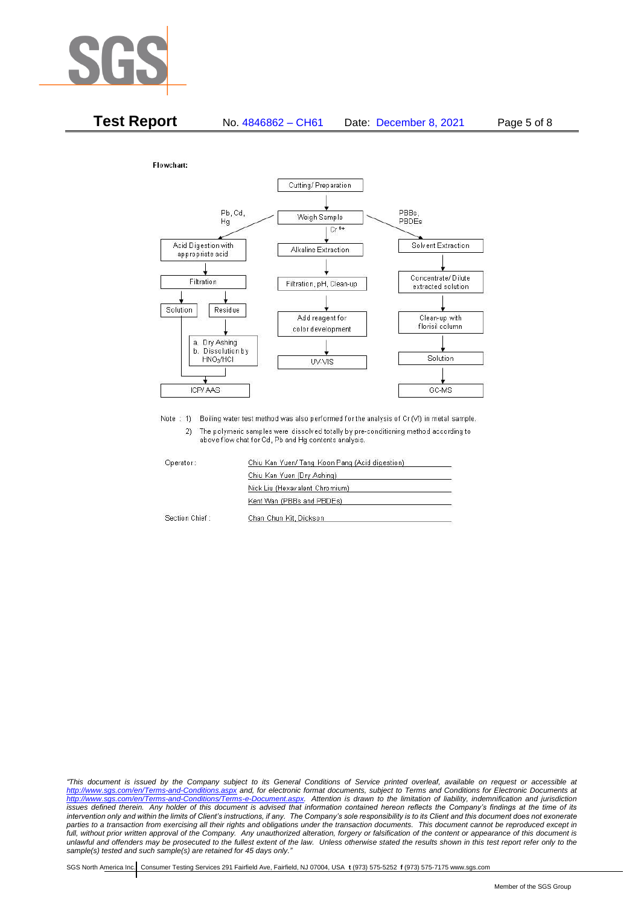



Note : 1) Boiling water test method was also performed for the analysis of Cr (VI) in metal sample. The polymeric samples were dissolved totally by pre-conditioning method according to  $2)$ above flow chat for Cd, Pb and Hg contents analysis.

Operator:

Section Chief:

Chiu Kan Yuen/ Tang Koon Pang (Acid digestion) Chiu Kan Yuen (Dry Ashing) Nick Liu (Hexavalent Chromium) Kent Wan (PBBs and PBDEs) Chan Chun Kit, Dickson

*"This document is issued by the Company subject to its General Conditions of Service printed overleaf, available on request or accessible at <http://www.sgs.com/en/Terms-and-Conditions.aspx> and, for electronic format documents, subject to Terms and Conditions for Electronic Documents at [http://www.sgs.com/en/Terms-and-Conditions/Terms-e-Document.aspx.](http://www.sgs.com/en/Terms-and-Conditions/Terms-e-Document.aspx) Attention is drawn to the limitation of liability, indemnification and jurisdiction issues defined therein. Any holder of this document is advised that information contained hereon reflects the Company's findings at the time of its intervention only and within the limits of Client's instructions, if any. The Company's sole responsibility is to its Client and this document does not exonerate parties to a transaction from exercising all their rights and obligations under the transaction documents. This document cannot be reproduced except in*  full, without prior written approval of the Company. Any unauthorized alteration, forgery or falsification of the content or appearance of this document is *unlawful and offenders may be prosecuted to the fullest extent of the law. Unless otherwise stated the results shown in this test report refer only to the sample(s) tested and such sample(s) are retained for 45 days only."*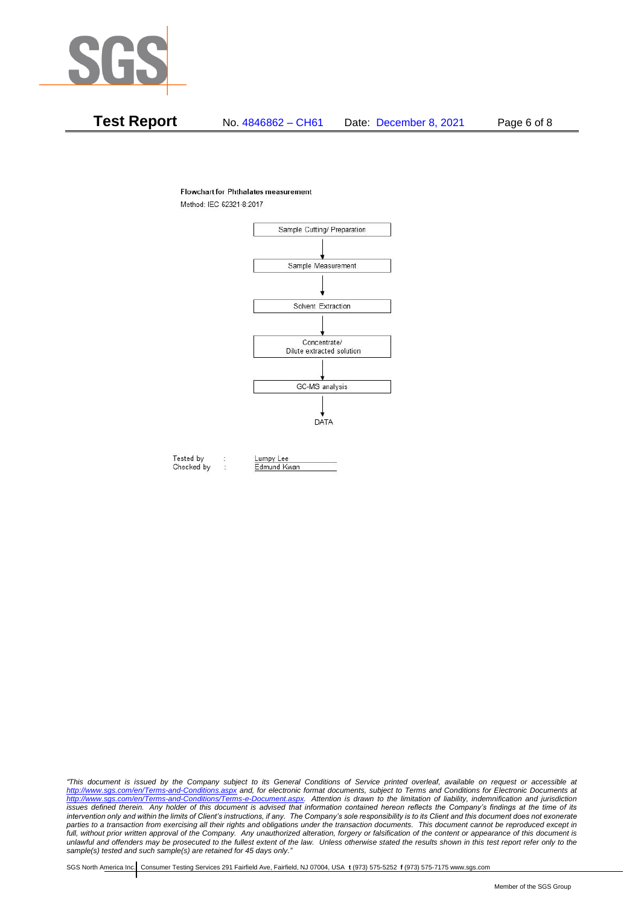

# **Test Report** No. 4846862 – CH61 Date: December 8, 2021 Page 6 of 8

### **Flowchart for Phthalates measurement**

Method: IEC 62321-8:2017



Tested by Checked by

*"This document is issued by the Company subject to its General Conditions of Service printed overleaf, available on request or accessible at <http://www.sgs.com/en/Terms-and-Conditions.aspx> and, for electronic format documents, subject to Terms and Conditions for Electronic Documents at [http://www.sgs.com/en/Terms-and-Conditions/Terms-e-Document.aspx.](http://www.sgs.com/en/Terms-and-Conditions/Terms-e-Document.aspx) Attention is drawn to the limitation of liability, indemnification and jurisdiction issues defined therein. Any holder of this document is advised that information contained hereon reflects the Company's findings at the time of its intervention only and within the limits of Client's instructions, if any. The Company's sole responsibility is to its Client and this document does not exonerate*  parties to a transaction from exercising all their rights and obligations under the transaction documents. This document cannot be reproduced except in full, without prior written approval of the Company. Any unauthorized alteration, forgery or falsification of the content or appearance of this document is *unlawful and offenders may be prosecuted to the fullest extent of the law. Unless otherwise stated the results shown in this test report refer only to the sample(s) tested and such sample(s) are retained for 45 days only."*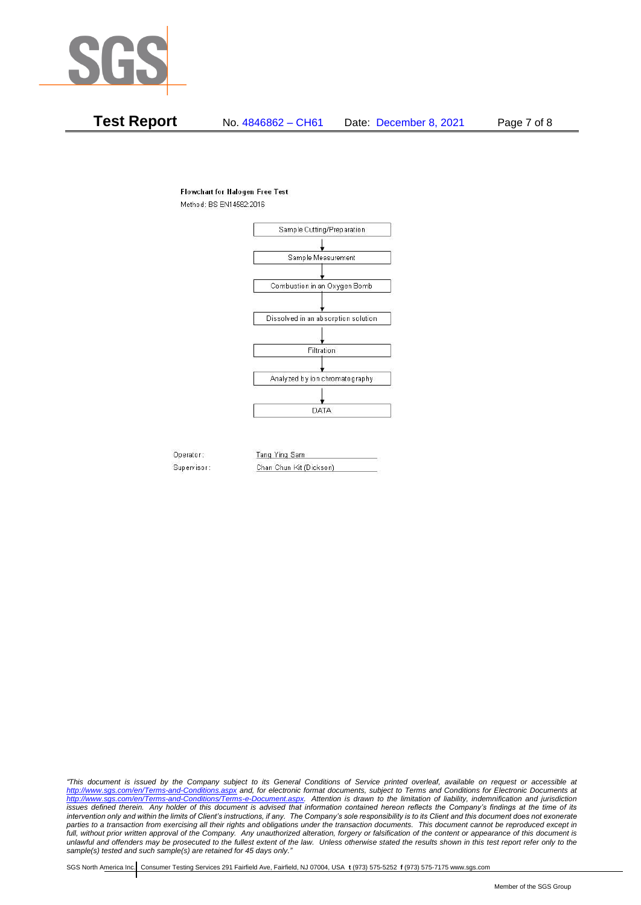

# **Test Report** No. 4846862 – CH61 Date: December 8, 2021 Page 7 of 8

#### **Flowchart for Halogen Free Test**

Method: BS EN14582:2016



Operator: Supervisor: Tang Ying Sam Chan Chun Kit (Dickson)

*"This document is issued by the Company subject to its General Conditions of Service printed overleaf, available on request or accessible at <http://www.sgs.com/en/Terms-and-Conditions.aspx> and, for electronic format documents, subject to Terms and Conditions for Electronic Documents at [http://www.sgs.com/en/Terms-and-Conditions/Terms-e-Document.aspx.](http://www.sgs.com/en/Terms-and-Conditions/Terms-e-Document.aspx) Attention is drawn to the limitation of liability, indemnification and jurisdiction issues defined therein. Any holder of this document is advised that information contained hereon reflects the Company's findings at the time of its intervention only and within the limits of Client's instructions, if any. The Company's sole responsibility is to its Client and this document does not exonerate*  parties to a transaction from exercising all their rights and obligations under the transaction documents. This document cannot be reproduced except in full, without prior written approval of the Company. Any unauthorized alteration, forgery or falsification of the content or appearance of this document is *unlawful and offenders may be prosecuted to the fullest extent of the law. Unless otherwise stated the results shown in this test report refer only to the sample(s) tested and such sample(s) are retained for 45 days only."*